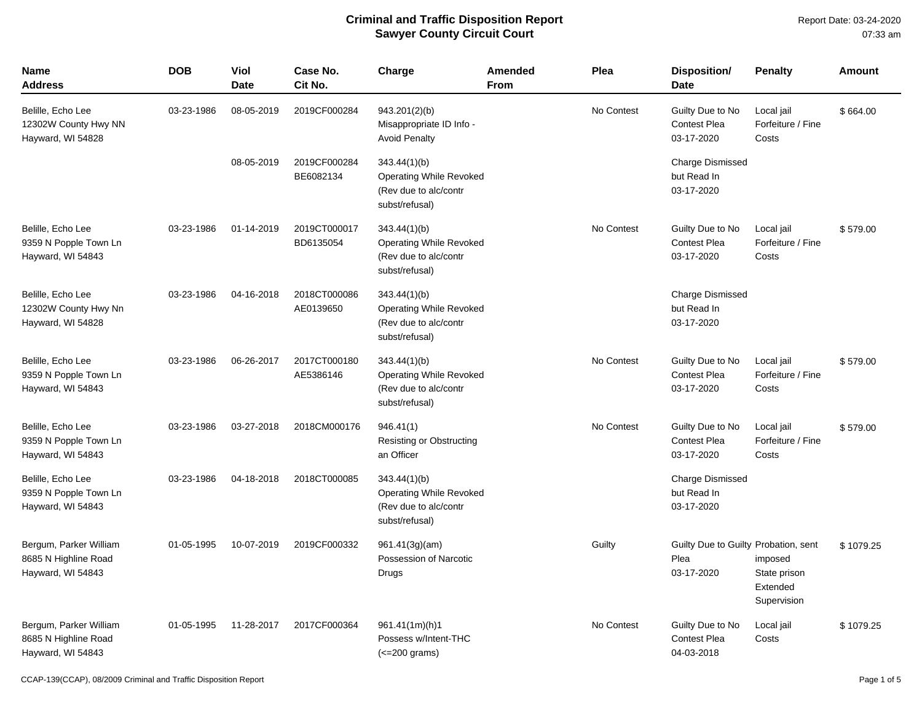Report Date: 03-24-2020 07:33 am

| <b>Name</b><br><b>Address</b>                                       | <b>DOB</b> | <b>Viol</b><br><b>Date</b> | Case No.<br>Cit No.       | Charge                                                                                    | <b>Amended</b><br>From | Plea       | Disposition/<br><b>Date</b>                                | <b>Penalty</b>                                     | <b>Amount</b> |
|---------------------------------------------------------------------|------------|----------------------------|---------------------------|-------------------------------------------------------------------------------------------|------------------------|------------|------------------------------------------------------------|----------------------------------------------------|---------------|
| Belille, Echo Lee<br>12302W County Hwy NN<br>Hayward, WI 54828      | 03-23-1986 | 08-05-2019                 | 2019CF000284              | 943.201(2)(b)<br>Misappropriate ID Info -<br><b>Avoid Penalty</b>                         |                        | No Contest | Guilty Due to No<br><b>Contest Plea</b><br>03-17-2020      | Local jail<br>Forfeiture / Fine<br>Costs           | \$664.00      |
|                                                                     |            | 08-05-2019                 | 2019CF000284<br>BE6082134 | 343.44(1)(b)<br><b>Operating While Revoked</b><br>(Rev due to alc/contr<br>subst/refusal) |                        |            | Charge Dismissed<br>but Read In<br>03-17-2020              |                                                    |               |
| Belille, Echo Lee<br>9359 N Popple Town Ln<br>Hayward, WI 54843     | 03-23-1986 | 01-14-2019                 | 2019CT000017<br>BD6135054 | 343.44(1)(b)<br><b>Operating While Revoked</b><br>(Rev due to alc/contr<br>subst/refusal) |                        | No Contest | Guilty Due to No<br><b>Contest Plea</b><br>03-17-2020      | Local jail<br>Forfeiture / Fine<br>Costs           | \$579.00      |
| Belille, Echo Lee<br>12302W County Hwy Nn<br>Hayward, WI 54828      | 03-23-1986 | 04-16-2018                 | 2018CT000086<br>AE0139650 | 343.44(1)(b)<br><b>Operating While Revoked</b><br>(Rev due to alc/contr<br>subst/refusal) |                        |            | Charge Dismissed<br>but Read In<br>03-17-2020              |                                                    |               |
| Belille, Echo Lee<br>9359 N Popple Town Ln<br>Hayward, WI 54843     | 03-23-1986 | 06-26-2017                 | 2017CT000180<br>AE5386146 | 343.44(1)(b)<br>Operating While Revoked<br>(Rev due to alc/contr<br>subst/refusal)        |                        | No Contest | Guilty Due to No<br><b>Contest Plea</b><br>03-17-2020      | Local jail<br>Forfeiture / Fine<br>Costs           | \$579.00      |
| Belille, Echo Lee<br>9359 N Popple Town Ln<br>Hayward, WI 54843     | 03-23-1986 | 03-27-2018                 | 2018CM000176              | 946.41(1)<br>Resisting or Obstructing<br>an Officer                                       |                        | No Contest | Guilty Due to No<br><b>Contest Plea</b><br>03-17-2020      | Local jail<br>Forfeiture / Fine<br>Costs           | \$579.00      |
| Belille, Echo Lee<br>9359 N Popple Town Ln<br>Hayward, WI 54843     | 03-23-1986 | 04-18-2018                 | 2018CT000085              | 343.44(1)(b)<br><b>Operating While Revoked</b><br>(Rev due to alc/contr<br>subst/refusal) |                        |            | Charge Dismissed<br>but Read In<br>03-17-2020              |                                                    |               |
| Bergum, Parker William<br>8685 N Highline Road<br>Hayward, WI 54843 | 01-05-1995 | 10-07-2019                 | 2019CF000332              | 961.41(3g)(am)<br>Possession of Narcotic<br>Drugs                                         |                        | Guilty     | Guilty Due to Guilty Probation, sent<br>Plea<br>03-17-2020 | imposed<br>State prison<br>Extended<br>Supervision | \$1079.25     |
| Bergum, Parker William<br>8685 N Highline Road<br>Hayward, WI 54843 | 01-05-1995 | 11-28-2017                 | 2017CF000364              | 961.41(1m)(h)1<br>Possess w/Intent-THC<br>$\left($ < = 200 grams)                         |                        | No Contest | Guilty Due to No<br><b>Contest Plea</b><br>04-03-2018      | Local jail<br>Costs                                | \$1079.25     |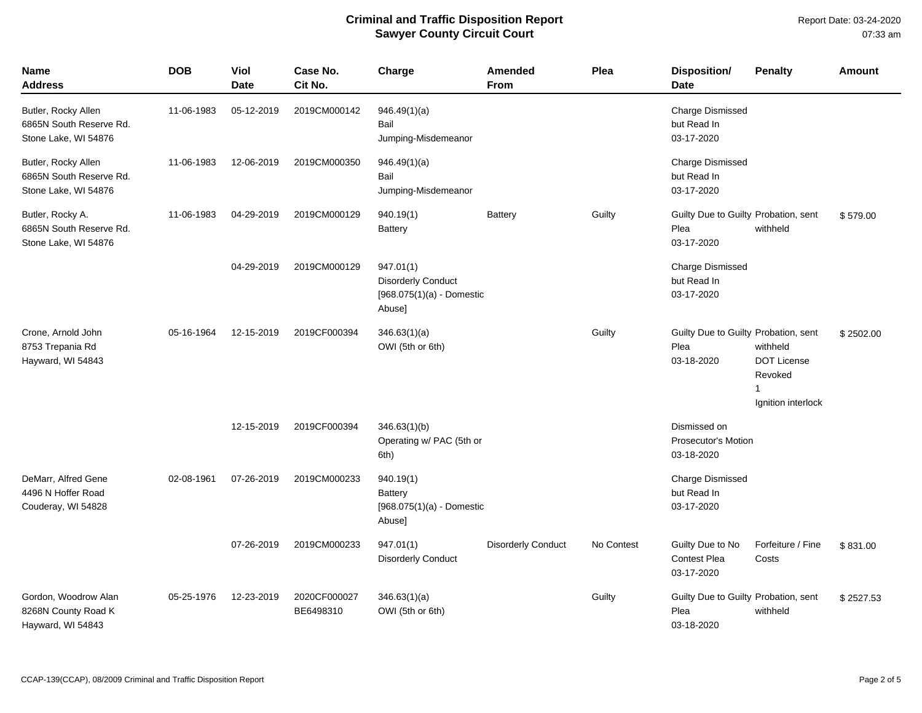| Name<br><b>Address</b>                                                 | <b>DOB</b> | <b>Viol</b><br><b>Date</b> | Case No.<br>Cit No.       | Charge                                                                          | <b>Amended</b><br><b>From</b> | Plea       | <b>Disposition/</b><br><b>Date</b>                         | <b>Penalty</b>                                                                  | Amount    |
|------------------------------------------------------------------------|------------|----------------------------|---------------------------|---------------------------------------------------------------------------------|-------------------------------|------------|------------------------------------------------------------|---------------------------------------------------------------------------------|-----------|
| Butler, Rocky Allen<br>6865N South Reserve Rd.<br>Stone Lake, WI 54876 | 11-06-1983 | 05-12-2019                 | 2019CM000142              | 946.49(1)(a)<br>Bail<br>Jumping-Misdemeanor                                     |                               |            | <b>Charge Dismissed</b><br>but Read In<br>03-17-2020       |                                                                                 |           |
| Butler, Rocky Allen<br>6865N South Reserve Rd.<br>Stone Lake, WI 54876 | 11-06-1983 | 12-06-2019                 | 2019CM000350              | 946.49(1)(a)<br>Bail<br>Jumping-Misdemeanor                                     |                               |            | Charge Dismissed<br>but Read In<br>03-17-2020              |                                                                                 |           |
| Butler, Rocky A.<br>6865N South Reserve Rd.<br>Stone Lake, WI 54876    | 11-06-1983 | 04-29-2019                 | 2019CM000129              | 940.19(1)<br><b>Battery</b>                                                     | <b>Battery</b>                | Guilty     | Guilty Due to Guilty Probation, sent<br>Plea<br>03-17-2020 | withheld                                                                        | \$579.00  |
|                                                                        |            | 04-29-2019                 | 2019CM000129              | 947.01(1)<br><b>Disorderly Conduct</b><br>$[968.075(1)(a) -$ Domestic<br>Abuse] |                               |            | <b>Charge Dismissed</b><br>but Read In<br>03-17-2020       |                                                                                 |           |
| Crone, Arnold John<br>8753 Trepania Rd<br>Hayward, WI 54843            | 05-16-1964 | 12-15-2019                 | 2019CF000394              | 346.63(1)(a)<br>OWI (5th or 6th)                                                |                               | Guilty     | Guilty Due to Guilty Probation, sent<br>Plea<br>03-18-2020 | withheld<br><b>DOT License</b><br>Revoked<br>$\mathbf{1}$<br>Ignition interlock | \$2502.00 |
|                                                                        |            | 12-15-2019                 | 2019CF000394              | 346.63(1)(b)<br>Operating w/ PAC (5th or<br>6th)                                |                               |            | Dismissed on<br><b>Prosecutor's Motion</b><br>03-18-2020   |                                                                                 |           |
| DeMarr, Alfred Gene<br>4496 N Hoffer Road<br>Couderay, WI 54828        | 02-08-1961 | 07-26-2019                 | 2019CM000233              | 940.19(1)<br><b>Battery</b><br>$[968.075(1)(a) -$ Domestic<br>Abuse]            |                               |            | <b>Charge Dismissed</b><br>but Read In<br>03-17-2020       |                                                                                 |           |
|                                                                        |            | 07-26-2019                 | 2019CM000233              | 947.01(1)<br><b>Disorderly Conduct</b>                                          | <b>Disorderly Conduct</b>     | No Contest | Guilty Due to No<br>Contest Plea<br>03-17-2020             | Forfeiture / Fine<br>Costs                                                      | \$831.00  |
| Gordon, Woodrow Alan<br>8268N County Road K<br>Hayward, WI 54843       | 05-25-1976 | 12-23-2019                 | 2020CF000027<br>BE6498310 | 346.63(1)(a)<br>OWI (5th or 6th)                                                |                               | Guilty     | Guilty Due to Guilty Probation, sent<br>Plea<br>03-18-2020 | withheld                                                                        | \$2527.53 |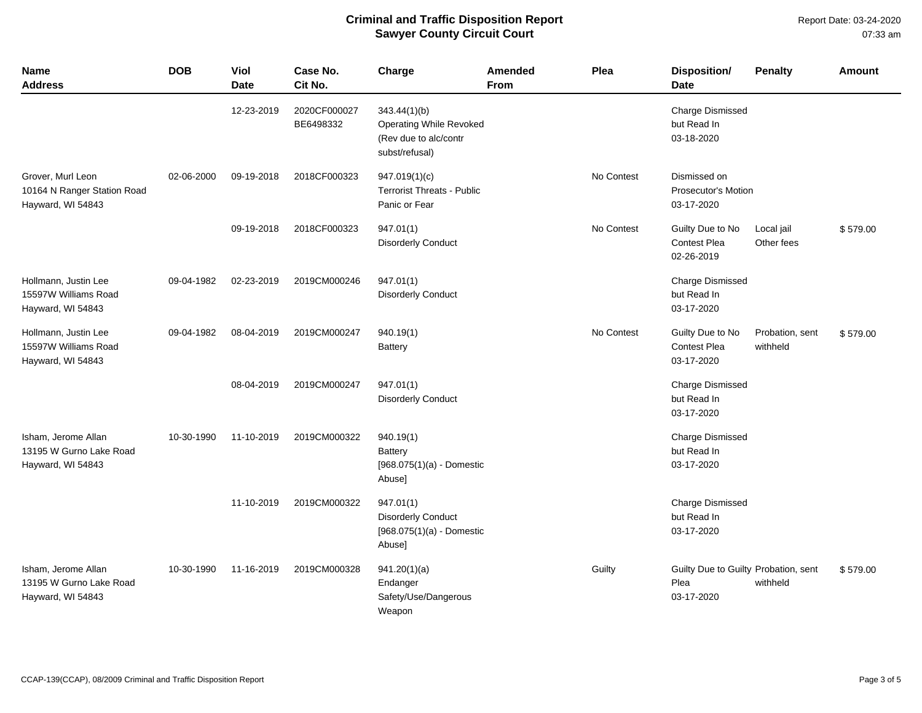Report Date: 03-24-2020 07:33 am

| <b>Name</b><br><b>Address</b>                                         | <b>DOB</b> | Viol<br><b>Date</b> | Case No.<br>Cit No.       | Charge                                                                                    | Amended<br><b>From</b> | Plea       | Disposition/<br><b>Date</b>                                | <b>Penalty</b>              | Amount   |
|-----------------------------------------------------------------------|------------|---------------------|---------------------------|-------------------------------------------------------------------------------------------|------------------------|------------|------------------------------------------------------------|-----------------------------|----------|
|                                                                       |            | 12-23-2019          | 2020CF000027<br>BE6498332 | 343.44(1)(b)<br><b>Operating While Revoked</b><br>(Rev due to alc/contr<br>subst/refusal) |                        |            | <b>Charge Dismissed</b><br>but Read In<br>03-18-2020       |                             |          |
| Grover, Murl Leon<br>10164 N Ranger Station Road<br>Hayward, WI 54843 | 02-06-2000 | 09-19-2018          | 2018CF000323              | 947.019(1)(c)<br><b>Terrorist Threats - Public</b><br>Panic or Fear                       |                        | No Contest | Dismissed on<br><b>Prosecutor's Motion</b><br>03-17-2020   |                             |          |
|                                                                       |            | 09-19-2018          | 2018CF000323              | 947.01(1)<br><b>Disorderly Conduct</b>                                                    |                        | No Contest | Guilty Due to No<br><b>Contest Plea</b><br>02-26-2019      | Local jail<br>Other fees    | \$579.00 |
| Hollmann, Justin Lee<br>15597W Williams Road<br>Hayward, WI 54843     | 09-04-1982 | 02-23-2019          | 2019CM000246              | 947.01(1)<br><b>Disorderly Conduct</b>                                                    |                        |            | <b>Charge Dismissed</b><br>but Read In<br>03-17-2020       |                             |          |
| Hollmann, Justin Lee<br>15597W Williams Road<br>Hayward, WI 54843     | 09-04-1982 | 08-04-2019          | 2019CM000247              | 940.19(1)<br><b>Battery</b>                                                               |                        | No Contest | Guilty Due to No<br>Contest Plea<br>03-17-2020             | Probation, sent<br>withheld | \$579.00 |
|                                                                       |            | 08-04-2019          | 2019CM000247              | 947.01(1)<br><b>Disorderly Conduct</b>                                                    |                        |            | <b>Charge Dismissed</b><br>but Read In<br>03-17-2020       |                             |          |
| Isham, Jerome Allan<br>13195 W Gurno Lake Road<br>Hayward, WI 54843   | 10-30-1990 | 11-10-2019          | 2019CM000322              | 940.19(1)<br>Battery<br>$[968.075(1)(a) -$ Domestic<br>Abuse]                             |                        |            | <b>Charge Dismissed</b><br>but Read In<br>03-17-2020       |                             |          |
|                                                                       |            | 11-10-2019          | 2019CM000322              | 947.01(1)<br><b>Disorderly Conduct</b><br>$[968.075(1)(a) -$ Domestic<br>Abuse]           |                        |            | <b>Charge Dismissed</b><br>but Read In<br>03-17-2020       |                             |          |
| Isham, Jerome Allan<br>13195 W Gurno Lake Road<br>Hayward, WI 54843   | 10-30-1990 | 11-16-2019          | 2019CM000328              | 941.20(1)(a)<br>Endanger<br>Safety/Use/Dangerous<br>Weapon                                |                        | Guilty     | Guilty Due to Guilty Probation, sent<br>Plea<br>03-17-2020 | withheld                    | \$579.00 |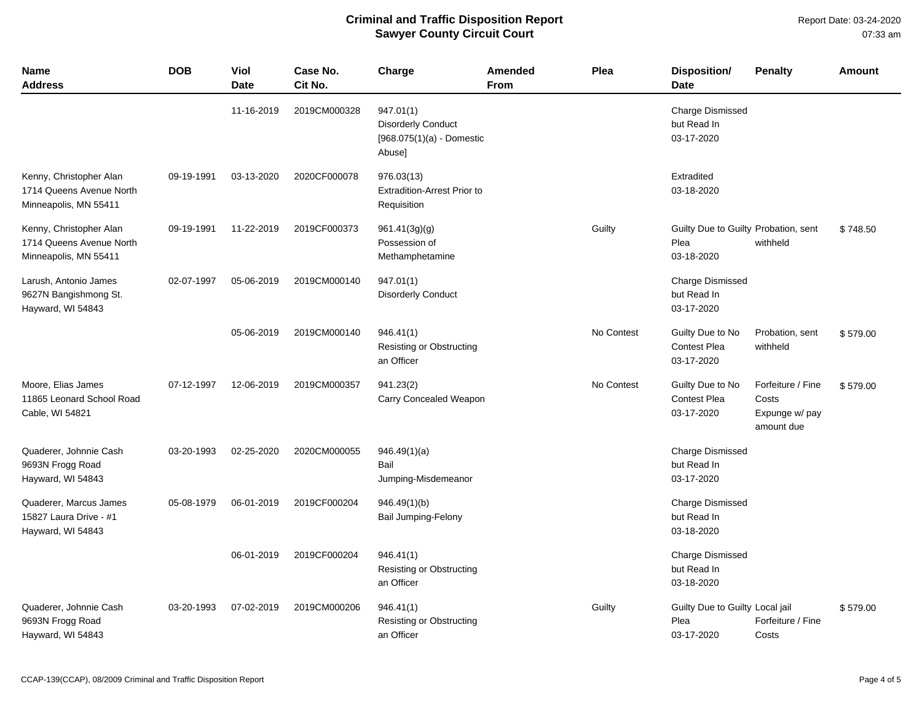| Name<br>Address                                                              | <b>DOB</b> | Viol<br><b>Date</b> | Case No.<br>Cit No. | Charge                                                                          | <b>Amended</b><br><b>From</b> | Plea       | <b>Disposition/</b><br><b>Date</b>                         | <b>Penalty</b>                                             | Amount   |
|------------------------------------------------------------------------------|------------|---------------------|---------------------|---------------------------------------------------------------------------------|-------------------------------|------------|------------------------------------------------------------|------------------------------------------------------------|----------|
|                                                                              |            | 11-16-2019          | 2019CM000328        | 947.01(1)<br><b>Disorderly Conduct</b><br>$[968.075(1)(a) -$ Domestic<br>Abuse] |                               |            | <b>Charge Dismissed</b><br>but Read In<br>03-17-2020       |                                                            |          |
| Kenny, Christopher Alan<br>1714 Queens Avenue North<br>Minneapolis, MN 55411 | 09-19-1991 | 03-13-2020          | 2020CF000078        | 976.03(13)<br><b>Extradition-Arrest Prior to</b><br>Requisition                 |                               |            | Extradited<br>03-18-2020                                   |                                                            |          |
| Kenny, Christopher Alan<br>1714 Queens Avenue North<br>Minneapolis, MN 55411 | 09-19-1991 | 11-22-2019          | 2019CF000373        | 961.41(3g)(g)<br>Possession of<br>Methamphetamine                               |                               | Guilty     | Guilty Due to Guilty Probation, sent<br>Plea<br>03-18-2020 | withheld                                                   | \$748.50 |
| Larush, Antonio James<br>9627N Bangishmong St.<br>Hayward, WI 54843          | 02-07-1997 | 05-06-2019          | 2019CM000140        | 947.01(1)<br><b>Disorderly Conduct</b>                                          |                               |            | <b>Charge Dismissed</b><br>but Read In<br>03-17-2020       |                                                            |          |
|                                                                              |            | 05-06-2019          | 2019CM000140        | 946.41(1)<br><b>Resisting or Obstructing</b><br>an Officer                      |                               | No Contest | Guilty Due to No<br><b>Contest Plea</b><br>03-17-2020      | Probation, sent<br>withheld                                | \$579.00 |
| Moore, Elias James<br>11865 Leonard School Road<br>Cable, WI 54821           | 07-12-1997 | 12-06-2019          | 2019CM000357        | 941.23(2)<br>Carry Concealed Weapon                                             |                               | No Contest | Guilty Due to No<br><b>Contest Plea</b><br>03-17-2020      | Forfeiture / Fine<br>Costs<br>Expunge w/ pay<br>amount due | \$579.00 |
| Quaderer, Johnnie Cash<br>9693N Frogg Road<br>Hayward, WI 54843              | 03-20-1993 | 02-25-2020          | 2020CM000055        | 946.49(1)(a)<br>Bail<br>Jumping-Misdemeanor                                     |                               |            | <b>Charge Dismissed</b><br>but Read In<br>03-17-2020       |                                                            |          |
| Quaderer, Marcus James<br>15827 Laura Drive - #1<br>Hayward, WI 54843        | 05-08-1979 | 06-01-2019          | 2019CF000204        | 946.49(1)(b)<br>Bail Jumping-Felony                                             |                               |            | <b>Charge Dismissed</b><br>but Read In<br>03-18-2020       |                                                            |          |
|                                                                              |            | 06-01-2019          | 2019CF000204        | 946.41(1)<br>Resisting or Obstructing<br>an Officer                             |                               |            | <b>Charge Dismissed</b><br>but Read In<br>03-18-2020       |                                                            |          |
| Quaderer, Johnnie Cash<br>9693N Frogg Road<br>Hayward, WI 54843              | 03-20-1993 | 07-02-2019          | 2019CM000206        | 946.41(1)<br>Resisting or Obstructing<br>an Officer                             |                               | Guilty     | Guilty Due to Guilty Local jail<br>Plea<br>03-17-2020      | Forfeiture / Fine<br>Costs                                 | \$579.00 |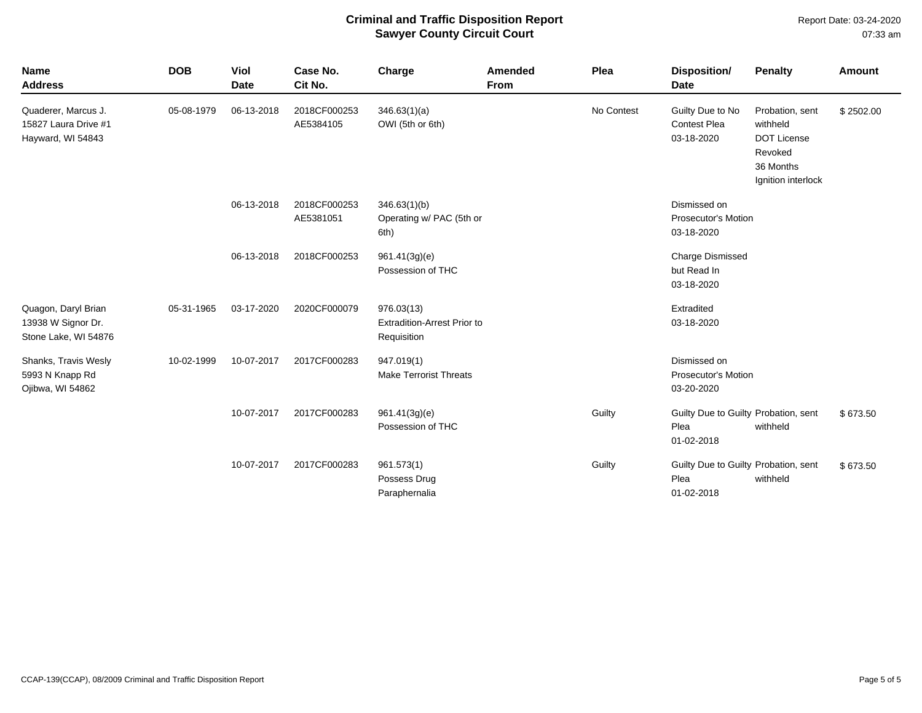Report Date: 03-24-2020 07:33 am

| <b>Name</b><br><b>Address</b>                                     | <b>DOB</b> | <b>Viol</b><br><b>Date</b> | Case No.<br>Cit No.       | Charge                                                          | Amended<br>From | Plea       | <b>Disposition/</b><br><b>Date</b>                         | <b>Penalty</b>                                                                                  | <b>Amount</b> |
|-------------------------------------------------------------------|------------|----------------------------|---------------------------|-----------------------------------------------------------------|-----------------|------------|------------------------------------------------------------|-------------------------------------------------------------------------------------------------|---------------|
| Quaderer, Marcus J.<br>15827 Laura Drive #1<br>Hayward, WI 54843  | 05-08-1979 | 06-13-2018                 | 2018CF000253<br>AE5384105 | 346.63(1)(a)<br>OWI (5th or 6th)                                |                 | No Contest | Guilty Due to No<br><b>Contest Plea</b><br>03-18-2020      | Probation, sent<br>withheld<br><b>DOT License</b><br>Revoked<br>36 Months<br>Ignition interlock | \$2502.00     |
|                                                                   |            | 06-13-2018                 | 2018CF000253<br>AE5381051 | 346.63(1)(b)<br>Operating w/ PAC (5th or<br>6th)                |                 |            | Dismissed on<br><b>Prosecutor's Motion</b><br>03-18-2020   |                                                                                                 |               |
|                                                                   |            | 06-13-2018                 | 2018CF000253              | 961.41(3g)(e)<br>Possession of THC                              |                 |            | Charge Dismissed<br>but Read In<br>03-18-2020              |                                                                                                 |               |
| Quagon, Daryl Brian<br>13938 W Signor Dr.<br>Stone Lake, WI 54876 | 05-31-1965 | 03-17-2020                 | 2020CF000079              | 976.03(13)<br><b>Extradition-Arrest Prior to</b><br>Requisition |                 |            | Extradited<br>03-18-2020                                   |                                                                                                 |               |
| Shanks, Travis Wesly<br>5993 N Knapp Rd<br>Ojibwa, WI 54862       | 10-02-1999 | 10-07-2017                 | 2017CF000283              | 947.019(1)<br><b>Make Terrorist Threats</b>                     |                 |            | Dismissed on<br><b>Prosecutor's Motion</b><br>03-20-2020   |                                                                                                 |               |
|                                                                   |            | 10-07-2017                 | 2017CF000283              | 961.41(3g)(e)<br>Possession of THC                              |                 | Guilty     | Guilty Due to Guilty Probation, sent<br>Plea<br>01-02-2018 | withheld                                                                                        | \$673.50      |
|                                                                   |            | 10-07-2017                 | 2017CF000283              | 961.573(1)<br>Possess Drug<br>Paraphernalia                     |                 | Guilty     | Guilty Due to Guilty Probation, sent<br>Plea<br>01-02-2018 | withheld                                                                                        | \$673.50      |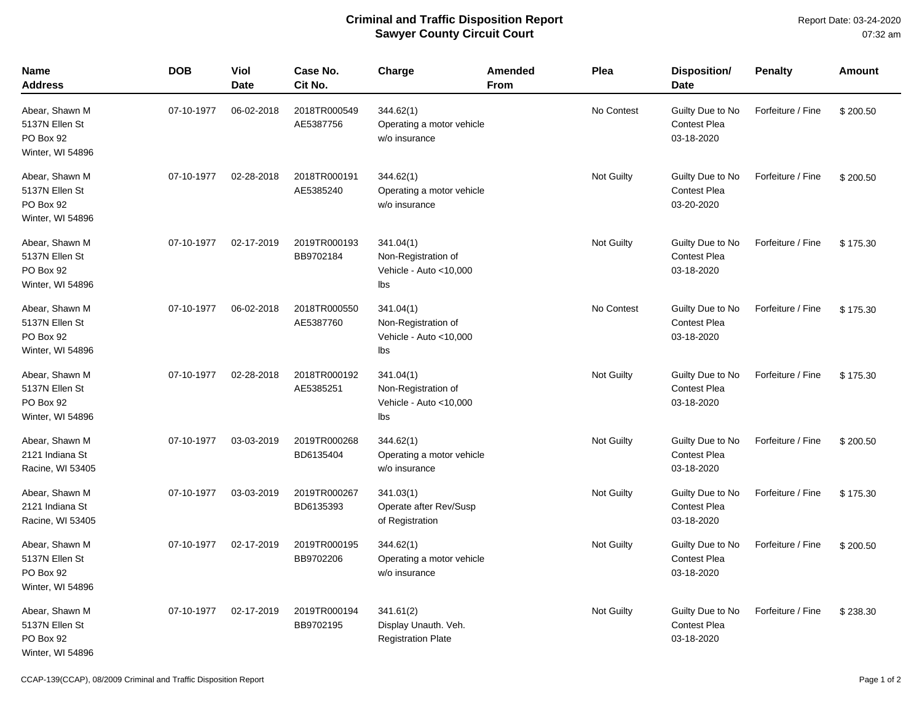| <b>Name</b><br><b>Address</b>                                     | <b>DOB</b> | Viol<br><b>Date</b> | Case No.<br>Cit No.       | Charge                                                             | <b>Amended</b><br>From | Plea              | <b>Disposition/</b><br><b>Date</b>                    | <b>Penalty</b>    | Amount   |
|-------------------------------------------------------------------|------------|---------------------|---------------------------|--------------------------------------------------------------------|------------------------|-------------------|-------------------------------------------------------|-------------------|----------|
| Abear, Shawn M<br>5137N Ellen St<br>PO Box 92<br>Winter, WI 54896 | 07-10-1977 | 06-02-2018          | 2018TR000549<br>AE5387756 | 344.62(1)<br>Operating a motor vehicle<br>w/o insurance            |                        | No Contest        | Guilty Due to No<br><b>Contest Plea</b><br>03-18-2020 | Forfeiture / Fine | \$200.50 |
| Abear, Shawn M<br>5137N Ellen St<br>PO Box 92<br>Winter, WI 54896 | 07-10-1977 | 02-28-2018          | 2018TR000191<br>AE5385240 | 344.62(1)<br>Operating a motor vehicle<br>w/o insurance            |                        | Not Guilty        | Guilty Due to No<br><b>Contest Plea</b><br>03-20-2020 | Forfeiture / Fine | \$200.50 |
| Abear, Shawn M<br>5137N Ellen St<br>PO Box 92<br>Winter, WI 54896 | 07-10-1977 | 02-17-2019          | 2019TR000193<br>BB9702184 | 341.04(1)<br>Non-Registration of<br>Vehicle - Auto <10,000<br>Ibs  |                        | Not Guilty        | Guilty Due to No<br>Contest Plea<br>03-18-2020        | Forfeiture / Fine | \$175.30 |
| Abear, Shawn M<br>5137N Ellen St<br>PO Box 92<br>Winter, WI 54896 | 07-10-1977 | 06-02-2018          | 2018TR000550<br>AE5387760 | 341.04(1)<br>Non-Registration of<br>Vehicle - Auto <10,000<br>Ibs  |                        | No Contest        | Guilty Due to No<br><b>Contest Plea</b><br>03-18-2020 | Forfeiture / Fine | \$175.30 |
| Abear, Shawn M<br>5137N Ellen St<br>PO Box 92<br>Winter, WI 54896 | 07-10-1977 | 02-28-2018          | 2018TR000192<br>AE5385251 | 341.04(1)<br>Non-Registration of<br>Vehicle - Auto < 10,000<br>Ibs |                        | <b>Not Guilty</b> | Guilty Due to No<br>Contest Plea<br>03-18-2020        | Forfeiture / Fine | \$175.30 |
| Abear, Shawn M<br>2121 Indiana St<br>Racine, WI 53405             | 07-10-1977 | 03-03-2019          | 2019TR000268<br>BD6135404 | 344.62(1)<br>Operating a motor vehicle<br>w/o insurance            |                        | Not Guilty        | Guilty Due to No<br>Contest Plea<br>03-18-2020        | Forfeiture / Fine | \$200.50 |
| Abear, Shawn M<br>2121 Indiana St<br>Racine, WI 53405             | 07-10-1977 | 03-03-2019          | 2019TR000267<br>BD6135393 | 341.03(1)<br>Operate after Rev/Susp<br>of Registration             |                        | Not Guilty        | Guilty Due to No<br>Contest Plea<br>03-18-2020        | Forfeiture / Fine | \$175.30 |
| Abear, Shawn M<br>5137N Ellen St<br>PO Box 92<br>Winter, WI 54896 | 07-10-1977 | 02-17-2019          | 2019TR000195<br>BB9702206 | 344.62(1)<br>Operating a motor vehicle<br>w/o insurance            |                        | <b>Not Guilty</b> | Guilty Due to No<br>Contest Plea<br>03-18-2020        | Forfeiture / Fine | \$200.50 |
| Abear, Shawn M<br>5137N Ellen St<br>PO Box 92<br>Winter, WI 54896 | 07-10-1977 | 02-17-2019          | 2019TR000194<br>BB9702195 | 341.61(2)<br>Display Unauth. Veh.<br><b>Registration Plate</b>     |                        | Not Guilty        | Guilty Due to No<br>Contest Plea<br>03-18-2020        | Forfeiture / Fine | \$238.30 |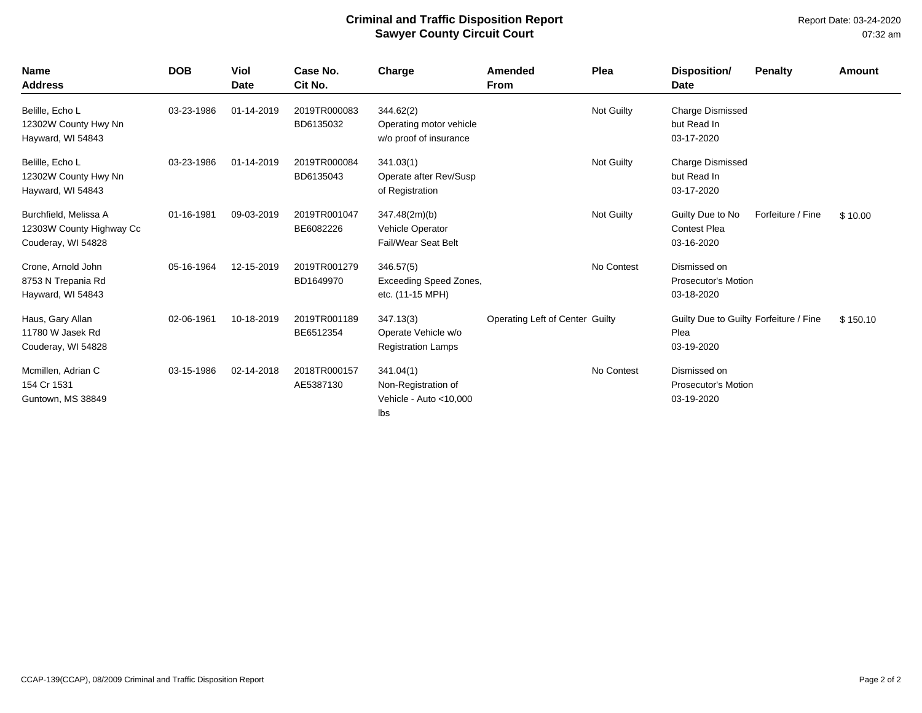Report Date: 03-24-2020 07:32 am

| <b>Name</b><br><b>Address</b>                                           | <b>DOB</b> | Viol<br><b>Date</b> | Case No.<br>Cit No.       | Charge                                                            | <b>Amended</b><br><b>From</b>   | Plea       | Disposition/<br><b>Date</b>                                  | <b>Penalty</b>    | <b>Amount</b> |
|-------------------------------------------------------------------------|------------|---------------------|---------------------------|-------------------------------------------------------------------|---------------------------------|------------|--------------------------------------------------------------|-------------------|---------------|
| Belille, Echo L<br>12302W County Hwy Nn<br>Hayward, WI 54843            | 03-23-1986 | 01-14-2019          | 2019TR000083<br>BD6135032 | 344.62(2)<br>Operating motor vehicle<br>w/o proof of insurance    |                                 | Not Guilty | <b>Charge Dismissed</b><br>but Read In<br>03-17-2020         |                   |               |
| Belille, Echo L<br>12302W County Hwy Nn<br>Hayward, WI 54843            | 03-23-1986 | 01-14-2019          | 2019TR000084<br>BD6135043 | 341.03(1)<br>Operate after Rev/Susp<br>of Registration            |                                 | Not Guilty | <b>Charge Dismissed</b><br>but Read In<br>03-17-2020         |                   |               |
| Burchfield, Melissa A<br>12303W County Highway Cc<br>Couderay, WI 54828 | 01-16-1981 | 09-03-2019          | 2019TR001047<br>BE6082226 | 347.48(2m)(b)<br>Vehicle Operator<br>Fail/Wear Seat Belt          |                                 | Not Guilty | Guilty Due to No<br><b>Contest Plea</b><br>03-16-2020        | Forfeiture / Fine | \$10.00       |
| Crone, Arnold John<br>8753 N Trepania Rd<br>Hayward, WI 54843           | 05-16-1964 | 12-15-2019          | 2019TR001279<br>BD1649970 | 346.57(5)<br><b>Exceeding Speed Zones,</b><br>etc. (11-15 MPH)    |                                 | No Contest | Dismissed on<br><b>Prosecutor's Motion</b><br>03-18-2020     |                   |               |
| Haus, Gary Allan<br>11780 W Jasek Rd<br>Couderay, WI 54828              | 02-06-1961 | 10-18-2019          | 2019TR001189<br>BE6512354 | 347.13(3)<br>Operate Vehicle w/o<br><b>Registration Lamps</b>     | Operating Left of Center Guilty |            | Guilty Due to Guilty Forfeiture / Fine<br>Plea<br>03-19-2020 |                   | \$150.10      |
| Mcmillen, Adrian C<br>154 Cr 1531<br>Guntown, MS 38849                  | 03-15-1986 | 02-14-2018          | 2018TR000157<br>AE5387130 | 341.04(1)<br>Non-Registration of<br>Vehicle - Auto <10,000<br>Ibs |                                 | No Contest | Dismissed on<br><b>Prosecutor's Motion</b><br>03-19-2020     |                   |               |